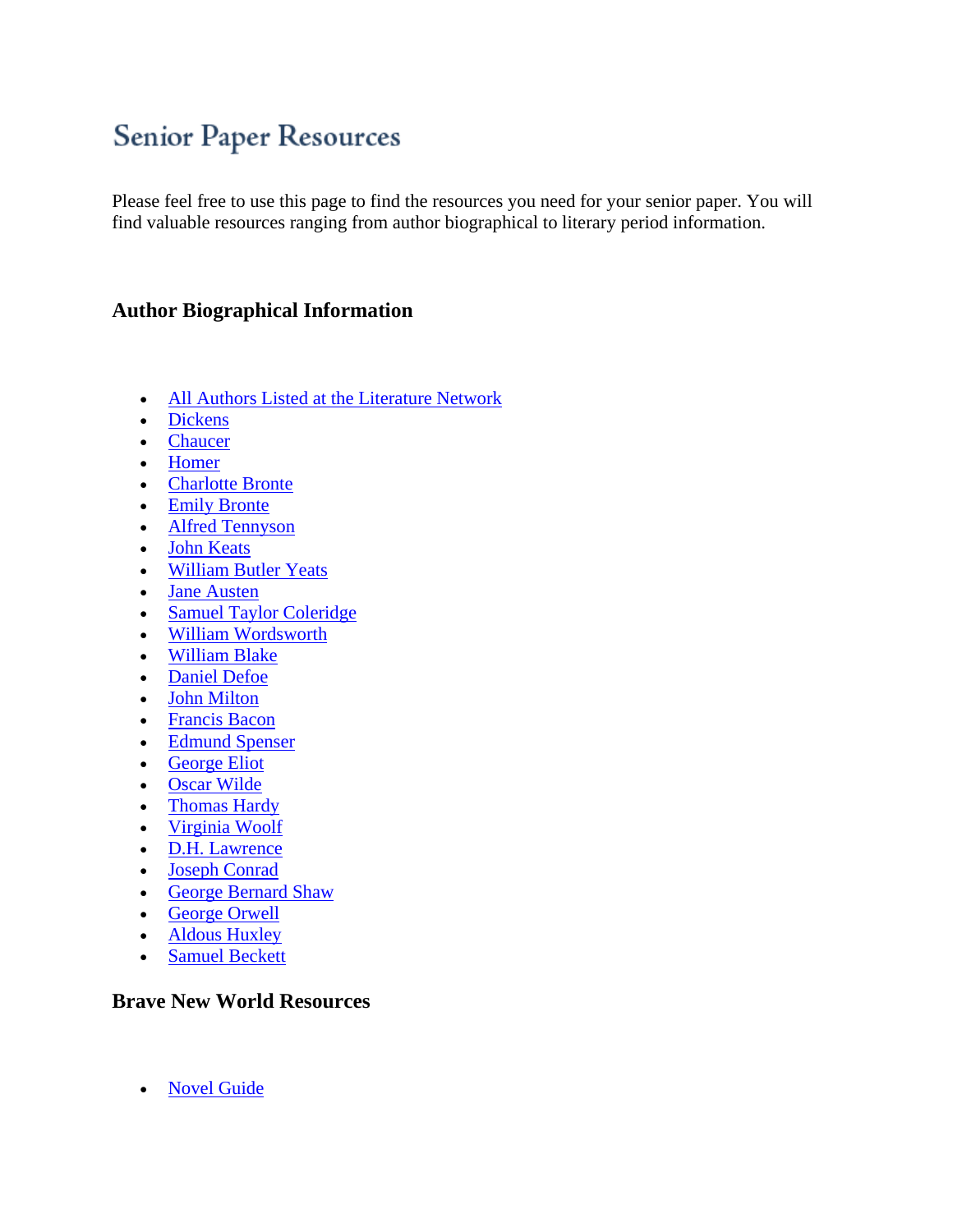# **Senior Paper Resources**

Please feel free to use this page to find the resources you need for your senior paper. You will find valuable resources ranging from author biographical to literary period information.

#### **Author Biographical Information**

- [All Authors Listed at the Literature Network](http://lajoya.tuhsd.org/get_link.cfm?link=4330)
- [Dickens](http://lajoya.tuhsd.org/get_link.cfm?link=4331)
- [Chaucer](http://lajoya.tuhsd.org/get_link.cfm?link=4332)
- [Homer](http://lajoya.tuhsd.org/get_link.cfm?link=4333)
- [Charlotte Bronte](http://lajoya.tuhsd.org/get_link.cfm?link=4334)
- [Emily Bronte](http://lajoya.tuhsd.org/get_link.cfm?link=4335)
- [Alfred Tennyson](http://lajoya.tuhsd.org/get_link.cfm?link=4336)
- [John Keats](http://lajoya.tuhsd.org/get_link.cfm?link=4337)
- [William Butler Yeats](http://lajoya.tuhsd.org/get_link.cfm?link=4338)
- [Jane Austen](http://lajoya.tuhsd.org/get_link.cfm?link=4339)
- [Samuel Taylor Coleridge](http://lajoya.tuhsd.org/get_link.cfm?link=4340)
- [William Wordsworth](http://lajoya.tuhsd.org/get_link.cfm?link=4341)
- [William Blake](http://lajoya.tuhsd.org/get_link.cfm?link=4342)
- [Daniel Defoe](http://lajoya.tuhsd.org/get_link.cfm?link=4343)
- [John Milton](http://lajoya.tuhsd.org/get_link.cfm?link=4344)
- [Francis Bacon](http://lajoya.tuhsd.org/get_link.cfm?link=4345)
- [Edmund Spenser](http://lajoya.tuhsd.org/get_link.cfm?link=4346)
- [George Eliot](http://lajoya.tuhsd.org/get_link.cfm?link=4347)
- [Oscar Wilde](http://lajoya.tuhsd.org/get_link.cfm?link=4348)
- [Thomas Hardy](http://lajoya.tuhsd.org/get_link.cfm?link=4349)
- [Virginia Woolf](http://lajoya.tuhsd.org/get_link.cfm?link=4350)
- [D.H. Lawrence](http://lajoya.tuhsd.org/get_link.cfm?link=4351)
- [Joseph Conrad](http://lajoya.tuhsd.org/get_link.cfm?link=4352)
- [George Bernard Shaw](http://lajoya.tuhsd.org/get_link.cfm?link=4353)
- [George Orwell](http://lajoya.tuhsd.org/get_link.cfm?link=4354)
- [Aldous Huxley](http://lajoya.tuhsd.org/get_link.cfm?link=4355)
- [Samuel Beckett](http://lajoya.tuhsd.org/get_link.cfm?link=4356)

#### **Brave New World Resources**

• [Novel Guide](http://lajoya.tuhsd.org/get_link.cfm?link=4357)